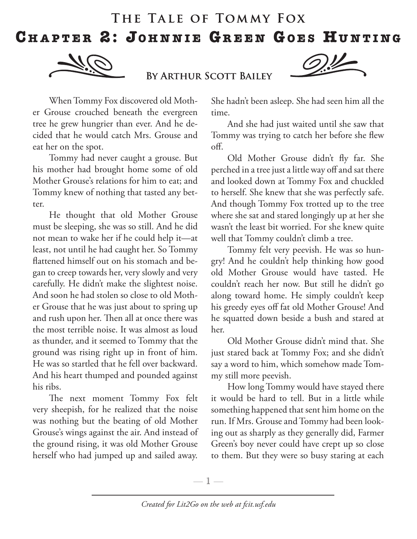## THE TALE OF TOMMY FOX CHAPTER 2: JOHNNIE GREEN GOES HUNTING



BY ARTHUR SCOTT BAILEY



When Tommy Fox discovered old Mother Grouse crouched beneath the evergreen tree he grew hungrier than ever. And he decided that he would catch Mrs. Grouse and eat her on the spot.

Tommy had never caught a grouse. But his mother had brought home some of old Mother Grouse's relations for him to eat; and Tommy knew of nothing that tasted any better.

He thought that old Mother Grouse must be sleeping, she was so still. And he did not mean to wake her if he could help it—at least, not until he had caught her. So Tommy flattened himself out on his stomach and began to creep towards her, very slowly and very carefully. He didn't make the slightest noise. And soon he had stolen so close to old Mother Grouse that he was just about to spring up and rush upon her. Then all at once there was the most terrible noise. It was almost as loud as thunder, and it seemed to Tommy that the ground was rising right up in front of him. He was so startled that he fell over backward. And his heart thumped and pounded against his ribs.

The next moment Tommy Fox felt very sheepish, for he realized that the noise was nothing but the beating of old Mother Grouse's wings against the air. And instead of the ground rising, it was old Mother Grouse herself who had jumped up and sailed away.

She hadn't been asleep. She had seen him all the time.

And she had just waited until she saw that Tommy was trying to catch her before she flew off.

Old Mother Grouse didn't fly far. She perched in a tree just a little way off and sat there and looked down at Tommy Fox and chuckled to herself. She knew that she was perfectly safe. And though Tommy Fox trotted up to the tree where she sat and stared longingly up at her she wasn't the least bit worried. For she knew quite well that Tommy couldn't climb a tree.

Tommy felt very peevish. He was so hungry! And he couldn't help thinking how good old Mother Grouse would have tasted. He couldn't reach her now. But still he didn't go along toward home. He simply couldn't keep his greedy eyes off fat old Mother Grouse! And he squatted down beside a bush and stared at her.

Old Mother Grouse didn't mind that. She just stared back at Tommy Fox; and she didn't say a word to him, which somehow made Tommy still more peevish.

How long Tommy would have stayed there it would be hard to tell. But in a little while something happened that sent him home on the run. If Mrs. Grouse and Tommy had been looking out as sharply as they generally did, Farmer Green's boy never could have crept up so close to them. But they were so busy staring at each

—  $\mathbb{1}$  —